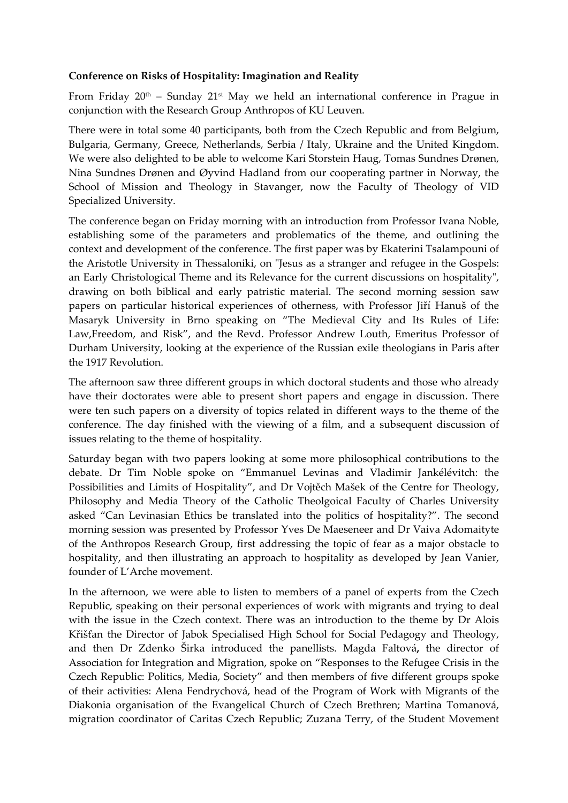## **Conference on Risks of Hospitality: Imagination and Reality**

From Friday  $20<sup>th</sup>$  – Sunday  $21<sup>st</sup>$  May we held an international conference in Prague in conjunction with the Research Group Anthropos of KU Leuven.

There were in total some 40 participants, both from the Czech Republic and from Belgium, Bulgaria, Germany, Greece, Netherlands, Serbia / Italy, Ukraine and the United Kingdom. We were also delighted to be able to welcome Kari Storstein Haug, Tomas Sundnes Drønen, Nina Sundnes Drønen and Øyvind Hadland from our cooperating partner in Norway, the School of Mission and Theology in Stavanger, now the Faculty of Theology of VID Specialized University.

The conference began on Friday morning with an introduction from Professor Ivana Noble, establishing some of the parameters and problematics of the theme, and outlining the context and development of the conference. The first paper was by Ekaterini Tsalampouni of the Aristotle University in Thessaloniki, on "Jesus as a stranger and refugee in the Gospels: an Early Christological Theme and its Relevance for the current discussions on hospitality", drawing on both biblical and early patristic material. The second morning session saw papers on particular historical experiences of otherness, with Professor Jiří Hanuš of the Masaryk University in Brno speaking on "The Medieval City and Its Rules of Life: Law,Freedom, and Risk", and the Revd. Professor Andrew Louth, Emeritus Professor of Durham University, looking at the experience of the Russian exile theologians in Paris after the 1917 Revolution.

The afternoon saw three different groups in which doctoral students and those who already have their doctorates were able to present short papers and engage in discussion. There were ten such papers on a diversity of topics related in different ways to the theme of the conference. The day finished with the viewing of a film, and a subsequent discussion of issues relating to the theme of hospitality.

Saturday began with two papers looking at some more philosophical contributions to the debate. Dr Tim Noble spoke on "Emmanuel Levinas and Vladimir Jankélévitch: the Possibilities and Limits of Hospitality", and Dr Vojtěch Mašek of the Centre for Theology, Philosophy and Media Theory of the Catholic Theolgoical Faculty of Charles University asked "Can Levinasian Ethics be translated into the politics of hospitality?". The second morning session was presented by Professor Yves De Maeseneer and Dr Vaiva Adomaityte of the Anthropos Research Group, first addressing the topic of fear as a major obstacle to hospitality, and then illustrating an approach to hospitality as developed by Jean Vanier, founder of L'Arche movement.

In the afternoon, we were able to listen to members of a panel of experts from the Czech Republic, speaking on their personal experiences of work with migrants and trying to deal with the issue in the Czech context. There was an introduction to the theme by Dr Alois Křišťan the Director of Jabok Specialised High School for Social Pedagogy and Theology, and then Dr Zdenko Širka introduced the panellists. Magda Faltová**,** the director of Association for Integration and Migration, spoke on "Responses to the Refugee Crisis in the Czech Republic: Politics, Media, Society" and then members of five different groups spoke of their activities: Alena Fendrychová, head of the Program of Work with Migrants of the Diakonia organisation of the Evangelical Church of Czech Brethren; Martina Tomanová, migration coordinator of Caritas Czech Republic; Zuzana Terry, of the Student Movement